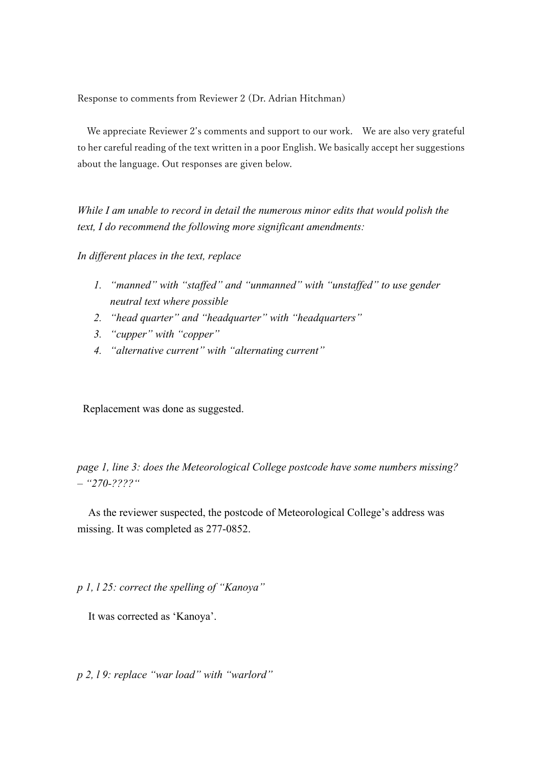Response to comments from Reviewer 2 (Dr. Adrian Hitchman)

 We appreciate Reviewer 2's comments and support to our work. We are also very grateful to her careful reading of the text written in a poor English. We basically accept her suggestions about the language. Out responses are given below.

*While I am unable to record in detail the numerous minor edits that would polish the text, I do recommend the following more significant amendments:*

*In different places in the text, replace*

- *1. "manned" with "staffed" and "unmanned" with "unstaffed" to use gender neutral text where possible*
- *2. "head quarter" and "headquarter" with "headquarters"*
- *3. "cupper" with "copper"*
- *4. "alternative current" with "alternating current"*

Replacement was done as suggested.

*page 1, line 3: does the Meteorological College postcode have some numbers missing? – "270-????"*

As the reviewer suspected, the postcode of Meteorological College's address was missing. It was completed as 277-0852.

*p 1, l 25: correct the spelling of "Kanoya"*

It was corrected as 'Kanoya'.

*p 2, l 9: replace "war load" with "warlord"*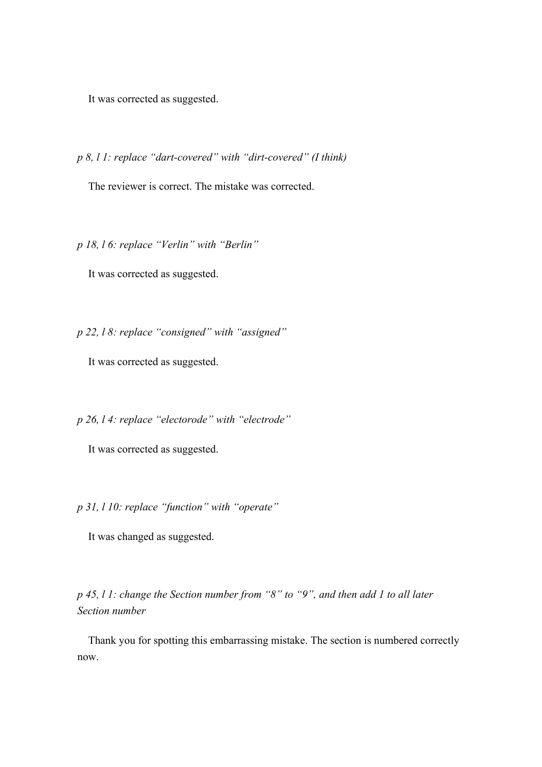It was corrected as suggested.

*p 8, l 1: replace "dart-covered" with "dirt-covered" (I think)*

The reviewer is correct. The mistake was corrected.

*p 18, l 6: replace "Verlin" with "Berlin"*

It was corrected as suggested.

*p 22, l 8: replace "consigned" with "assigned"*

It was corrected as suggested.

*p 26, l 4: replace "electorode" with "electrode"*

It was corrected as suggested.

*p 31, l 10: replace "function" with "operate"*

It was changed as suggested.

*p 45, l 1: change the Section number from "8" to "9", and then add 1 to all later Section number*

 Thank you for spotting this embarrassing mistake. The section is numbered correctly now.